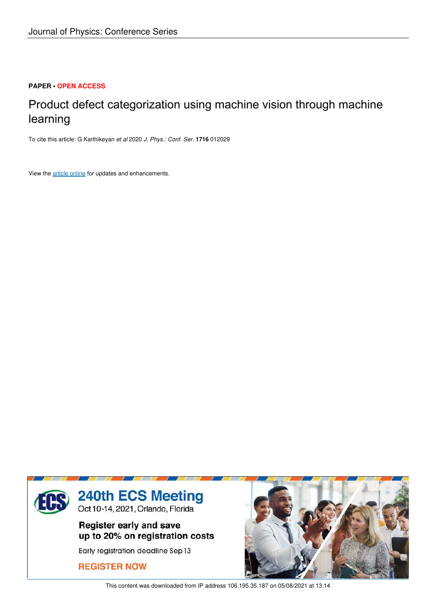# **PAPER • OPEN ACCESS**

# Product defect categorization using machine vision through machine learning

To cite this article: G Karthikeyan *et al* 2020 *J. Phys.: Conf. Ser.* **1716** 012029

View the **article online** for updates and enhancements.



This content was downloaded from IP address 106.195.35.187 on 05/08/2021 at 13:14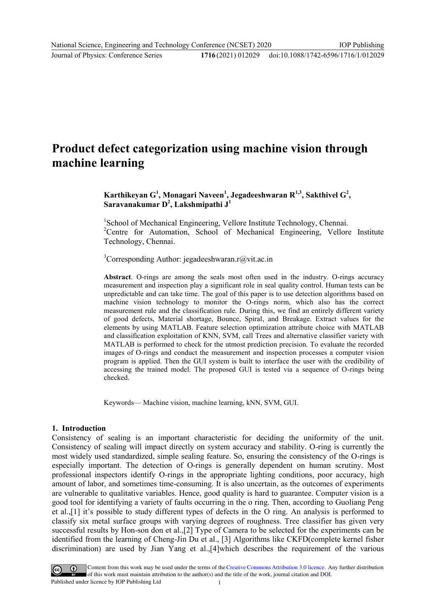# **Product defect categorization using machine vision through machine learning**

**Karthikeyan G<sup>1</sup> , Monagari Naveen<sup>1</sup> , Jegadeeshwaran R1,3, Sakthivel G<sup>2</sup> , Saravanakumar D<sup>2</sup> , Lakshmipathi J<sup>1</sup>**

<sup>1</sup>School of Mechanical Engineering, Vellore Institute Technology, Chennai. <sup>2</sup>Centre for Automation, School of Mechanical Engineering, Vellore Institute Technology, Chennai.

 $3$ Corresponding Author: jegadeeshwaran.r@vit.ac.in

**Abstract**. O-rings are among the seals most often used in the industry. O-rings accuracy measurement and inspection play a significant role in seal quality control. Human tests can be unpredictable and can take time. The goal of this paper is to use detection algorithms based on machine vision technology to monitor the O-rings norm, which also has the correct measurement rule and the classification rule. During this, we find an entirely different variety of good defects, Material shortage, Bounce, Spiral, and Breakage. Extract values for the elements by using MATLAB. Feature selection optimization attribute choice with MATLAB and classification exploitation of KNN, SVM, call Trees and alternative classifier variety with MATLAB is performed to check for the utmost prediction precision. To evaluate the recorded images of O-rings and conduct the measurement and inspection processes a computer vision program is applied. Then the GUI system is built to interface the user with the credibility of accessing the trained model. The proposed GUI is tested via a sequence of O-rings being checked.

Keywords— Machine vision, machine learning, kNN, SVM, GUI.

#### **1. Introduction**

Consistency of sealing is an important characteristic for deciding the uniformity of the unit. Consistency of sealing will impact directly on system accuracy and stability. O-ring is currently the most widely used standardized, simple sealing feature. So, ensuring the consistency of the O-rings is especially important. The detection of O-rings is generally dependent on human scrutiny. Most professional inspectors identify O-rings in the appropriate lighting conditions, poor accuracy, high amount of labor, and sometimes time-consuming. It is also uncertain, as the outcomes of experiments are vulnerable to qualitative variables. Hence, good quality is hard to guarantee. Computer vision is a good tool for identifying a variety of faults occurring in the o ring. Then, according to Guoliang Peng et al.,[1] it's possible to study different types of defects in the O ring. An analysis is performed to classify six metal surface groups with varying degrees of roughness. Tree classifier has given very successful results by Hon-son don et al.,[2] Type of Camera to be selected for the experiments can be identified from the learning of Cheng-Jin Du et al., [3] Algorithms like CKFD(complete kernel fisher discrimination) are used by Jian Yang et al.,[4]which describes the requirement of the various

Content from this work may be used under the terms of the Creative Commons Attribution 3.0 licence. Any further distribution of this work must maintain attribution to the author(s) and the title of the work, journal citation and DOI. Published under licence by IOP Publishing Ltd 1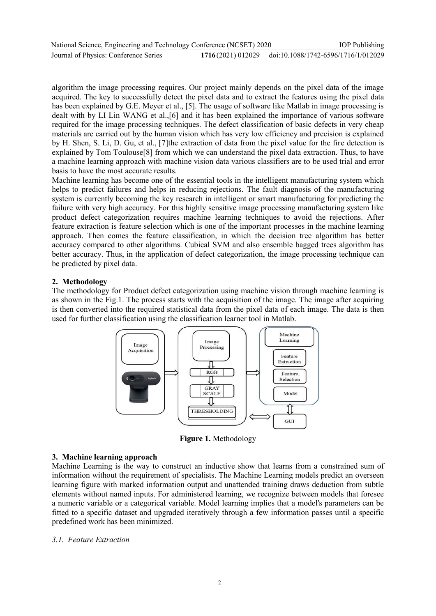| National Science, Engineering and Technology Conference (NCSET) 2020 | <b>IOP</b> Publishing                                 |
|----------------------------------------------------------------------|-------------------------------------------------------|
| Journal of Physics: Conference Series                                | 1716(2021) 012029 doi:10.1088/1742-6596/1716/1/012029 |

algorithm the image processing requires. Our project mainly depends on the pixel data of the image acquired. The key to successfully detect the pixel data and to extract the features using the pixel data has been explained by G.E. Meyer et al., [5]. The usage of software like Matlab in image processing is dealt with by LI Lin WANG et al.,[6] and it has been explained the importance of various software required for the image processing techniques. The defect classification of basic defects in very cheap materials are carried out by the human vision which has very low efficiency and precision is explained by H. Shen, S. Li, D. Gu, et al., [7]the extraction of data from the pixel value for the fire detection is explained by Tom Toulouse[8] from which we can understand the pixel data extraction. Thus, to have a machine learning approach with machine vision data various classifiers are to be used trial and error basis to have the most accurate results.

Machine learning has become one of the essential tools in the intelligent manufacturing system which helps to predict failures and helps in reducing rejections. The fault diagnosis of the manufacturing system is currently becoming the key research in intelligent or smart manufacturing for predicting the failure with very high accuracy. For this highly sensitive image processing manufacturing system like product defect categorization requires machine learning techniques to avoid the rejections. After feature extraction is feature selection which is one of the important processes in the machine learning approach. Then comes the feature classification, in which the decision tree algorithm has better accuracy compared to other algorithms. Cubical SVM and also ensemble bagged trees algorithm has better accuracy. Thus, in the application of defect categorization, the image processing technique can be predicted by pixel data.

## **2. Methodology**

The methodology for Product defect categorization using machine vision through machine learning is as shown in the Fig.1. The process starts with the acquisition of the image. The image after acquiring is then converted into the required statistical data from the pixel data of each image. The data is then used for further classification using the classification learner tool in Matlab.



**Figure 1.** Methodology

#### **3. Machine learning approach**

Machine Learning is the way to construct an inductive show that learns from a constrained sum of information without the requirement of specialists. The Machine Learning models predict an overseen learning figure with marked information output and unattended training draws deduction from subtle elements without named inputs. For administered learning, we recognize between models that foresee a numeric variable or a categorical variable. Model learning implies that a model's parameters can be fitted to a specific dataset and upgraded iteratively through a few information passes until a specific predefined work has been minimized.

#### *3.1. Feature Extraction*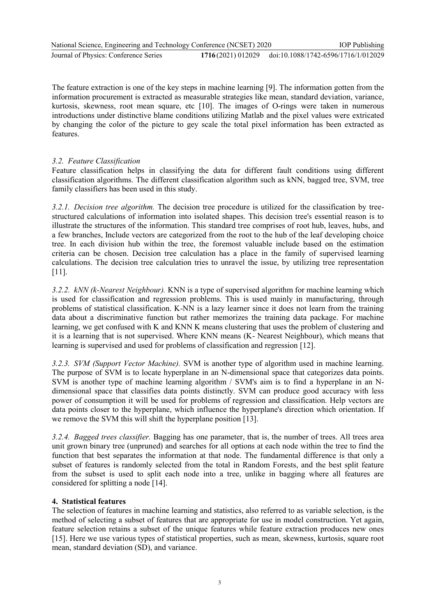The feature extraction is one of the key steps in machine learning [9]. The information gotten from the information procurement is extracted as measurable strategies like mean, standard deviation, variance, kurtosis, skewness, root mean square, etc [10]. The images of O-rings were taken in numerous introductions under distinctive blame conditions utilizing Matlab and the pixel values were extricated by changing the color of the picture to gey scale the total pixel information has been extracted as features.

## *3.2. Feature Classification*

Feature classification helps in classifying the data for different fault conditions using different classification algorithms. The different classification algorithm such as kNN, bagged tree, SVM, tree family classifiers has been used in this study.

*3.2.1. Decision tree algorithm.* The decision tree procedure is utilized for the classification by treestructured calculations of information into isolated shapes. This decision tree's essential reason is to illustrate the structures of the information. This standard tree comprises of root hub, leaves, hubs, and a few branches, Include vectors are categorized from the root to the hub of the leaf developing choice tree. In each division hub within the tree, the foremost valuable include based on the estimation criteria can be chosen. Decision tree calculation has a place in the family of supervised learning calculations. The decision tree calculation tries to unravel the issue, by utilizing tree representation [11].

*3.2.2. kNN (k-Nearest Neighbour).* KNN is a type of supervised algorithm for machine learning which is used for classification and regression problems. This is used mainly in manufacturing, through problems of statistical classification. K-NN is a lazy learner since it does not learn from the training data about a discriminative function but rather memorizes the training data package. For machine learning, we get confused with K and KNN K means clustering that uses the problem of clustering and it is a learning that is not supervised. Where KNN means (K- Nearest Neighbour), which means that learning is supervised and used for problems of classification and regression [12].

*3.2.3. SVM (Support Vector Machine).* SVM is another type of algorithm used in machine learning. The purpose of SVM is to locate hyperplane in an N-dimensional space that categorizes data points. SVM is another type of machine learning algorithm / SVM's aim is to find a hyperplane in an Ndimensional space that classifies data points distinctly. SVM can produce good accuracy with less power of consumption it will be used for problems of regression and classification. Help vectors are data points closer to the hyperplane, which influence the hyperplane's direction which orientation. If we remove the SVM this will shift the hyperplane position [13].

*3.2.4. Bagged trees classifier.* Bagging has one parameter, that is, the number of trees. All trees area unit grown binary tree (unpruned) and searches for all options at each node within the tree to find the function that best separates the information at that node. The fundamental difference is that only a subset of features is randomly selected from the total in Random Forests, and the best split feature from the subset is used to split each node into a tree, unlike in bagging where all features are considered for splitting a node [14].

#### **4. Statistical features**

The selection of features in machine learning and statistics, also referred to as variable selection, is the method of selecting a subset of features that are appropriate for use in model construction. Yet again, feature selection retains a subset of the unique features while feature extraction produces new ones [15]. Here we use various types of statistical properties, such as mean, skewness, kurtosis, square root mean, standard deviation (SD), and variance.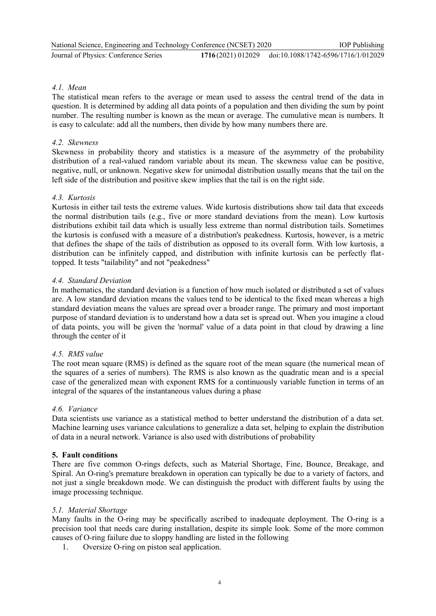#### *4.1. Mean*

The statistical mean refers to the average or mean used to assess the central trend of the data in question. It is determined by adding all data points of a population and then dividing the sum by point number. The resulting number is known as the mean or average. The cumulative mean is numbers. It is easy to calculate: add all the numbers, then divide by how many numbers there are.

#### *4.2. Skewness*

Skewness in probability theory and statistics is a measure of the asymmetry of the probability distribution of a real-valued random variable about its mean. The skewness value can be positive, negative, null, or unknown. Negative skew for unimodal distribution usually means that the tail on the left side of the distribution and positive skew implies that the tail is on the right side.

#### *4.3. Kurtosis*

Kurtosis in either tail tests the extreme values. Wide kurtosis distributions show tail data that exceeds the normal distribution tails (e.g., five or more standard deviations from the mean). Low kurtosis distributions exhibit tail data which is usually less extreme than normal distribution tails. Sometimes the kurtosis is confused with a measure of a distribution's peakedness. Kurtosis, however, is a metric that defines the shape of the tails of distribution as opposed to its overall form. With low kurtosis, a distribution can be infinitely capped, and distribution with infinite kurtosis can be perfectly flattopped. It tests "tailability" and not "peakedness"

#### *4.4. Standard Deviation*

In mathematics, the standard deviation is a function of how much isolated or distributed a set of values are. A low standard deviation means the values tend to be identical to the fixed mean whereas a high standard deviation means the values are spread over a broader range. The primary and most important purpose of standard deviation is to understand how a data set is spread out. When you imagine a cloud of data points, you will be given the 'normal' value of a data point in that cloud by drawing a line through the center of it

#### *4.5. RMS value*

The root mean square (RMS) is defined as the square root of the mean square (the numerical mean of the squares of a series of numbers). The RMS is also known as the quadratic mean and is a special case of the generalized mean with exponent RMS for a continuously variable function in terms of an integral of the squares of the instantaneous values during a phase

#### *4.6. Variance*

Data scientists use variance as a statistical method to better understand the distribution of a data set. Machine learning uses variance calculations to generalize a data set, helping to explain the distribution of data in a neural network. Variance is also used with distributions of probability

#### **5. Fault conditions**

There are five common O-rings defects, such as Material Shortage, Fine, Bounce, Breakage, and Spiral. An O-ring's premature breakdown in operation can typically be due to a variety of factors, and not just a single breakdown mode. We can distinguish the product with different faults by using the image processing technique.

#### *5.1. Material Shortage*

Many faults in the O-ring may be specifically ascribed to inadequate deployment. The O-ring is a precision tool that needs care during installation, despite its simple look. Some of the more common causes of O-ring failure due to sloppy handling are listed in the following

1. Oversize O-ring on piston seal application.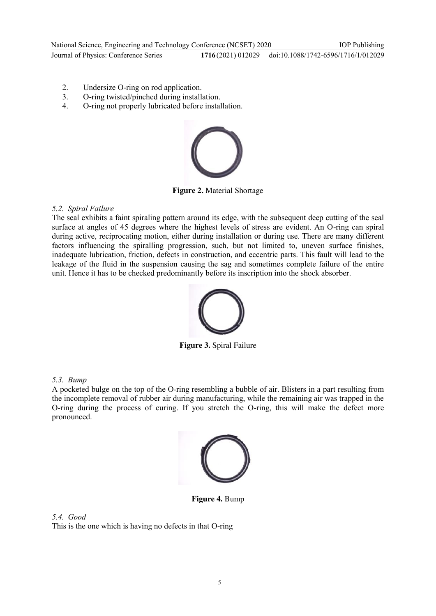- doi:10.1088/1742-6596/1716/1/012029
- 2. Undersize O-ring on rod application.<br>3. O-ring twisted/pinched during install
- 3. O-ring twisted/pinched during installation.<br>4. O-ring not properly lubricated before instal
- O-ring not properly lubricated before installation.



**Figure 2.** Material Shortage

## *5.2. Spiral Failure*

The seal exhibits a faint spiraling pattern around its edge, with the subsequent deep cutting of the seal surface at angles of 45 degrees where the highest levels of stress are evident. An O-ring can spiral during active, reciprocating motion, either during installation or during use. There are many different factors influencing the spiralling progression, such, but not limited to, uneven surface finishes, inadequate lubrication, friction, defects in construction, and eccentric parts. This fault will lead to the leakage of the fluid in the suspension causing the sag and sometimes complete failure of the entire unit. Hence it has to be checked predominantly before its inscription into the shock absorber.



**Figure 3.** Spiral Failure

# *5.3. Bump*

A pocketed bulge on the top of the O-ring resembling a bubble of air. Blisters in a part resulting from the incomplete removal of rubber air during manufacturing, while the remaining air was trapped in the O-ring during the process of curing. If you stretch the O-ring, this will make the defect more pronounced.



**Figure 4.** Bump

*5.4. Good*  This is the one which is having no defects in that O-ring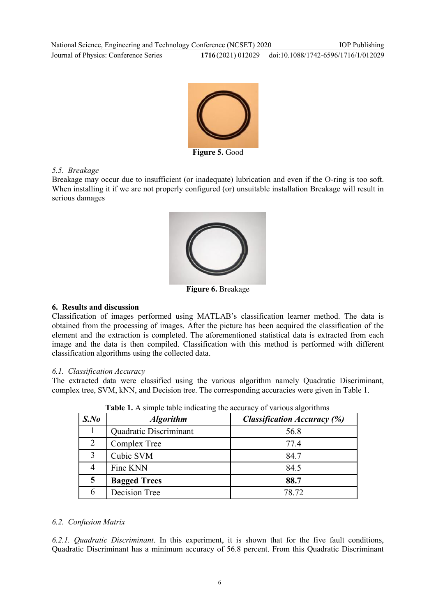

**Figure 5.** Good

## *5.5. Breakage*

Breakage may occur due to insufficient (or inadequate) lubrication and even if the O-ring is too soft. When installing it if we are not properly configured (or) unsuitable installation Breakage will result in serious damages



**Figure 6.** Breakage

## **6. Results and discussion**

Classification of images performed using MATLAB's classification learner method. The data is obtained from the processing of images. After the picture has been acquired the classification of the element and the extraction is completed. The aforementioned statistical data is extracted from each image and the data is then compiled. Classification with this method is performed with different classification algorithms using the collected data.

# *6.1. Classification Accuracy*

The extracted data were classified using the various algorithm namely Quadratic Discriminant, complex tree, SVM, kNN, and Decision tree. The corresponding accuracies were given in Table 1.

| $S$ .No | <b>Algorithm</b>       | <b>Classification Accuracy (%)</b> |
|---------|------------------------|------------------------------------|
|         | Quadratic Discriminant | 56.8                               |
| 2       | Complex Tree           | 77.4                               |
| 3       | Cubic SVM              | 84.7                               |
|         | Fine KNN               | 84.5                               |
| 5       | <b>Bagged Trees</b>    | 88.7                               |
| 6       | Decision Tree          | 78.72                              |

 **Table 1.** A simple table indicating the accuracy of various algorithms

#### *6.2. Confusion Matrix*

*6.2.1. Quadratic Discriminant*. In this experiment, it is shown that for the five fault conditions, Quadratic Discriminant has a minimum accuracy of 56.8 percent. From this Quadratic Discriminant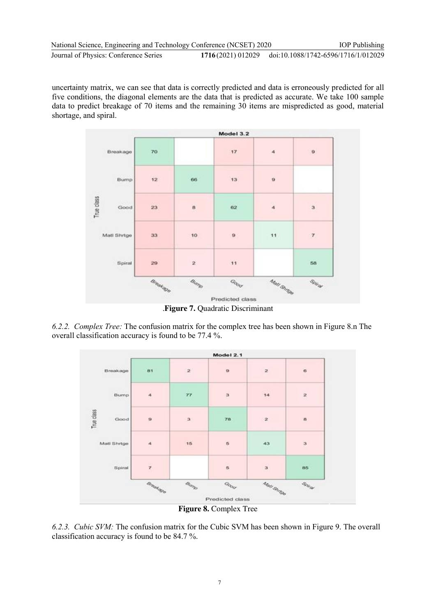| National Science, Engineering and Technology Conference (NCSET) 2020 | <b>IOP</b> Publishing                                 |
|----------------------------------------------------------------------|-------------------------------------------------------|
| Journal of Physics: Conference Series                                | 1716(2021) 012029 doi:10.1088/1742-6596/1716/1/012029 |

uncertainty matrix, we can see that data is correctly predicted and data is erroneously predicted for all five conditions, the diagonal elements are the data that is predicted as accurate. We take 100 sample data to predict breakage of 70 items and the remaining 30 items are mispredicted as good, material shortage, and spiral.



.**Figure 7.** Quadratic Discriminant

*6.2.2. Complex Tree:* The confusion matrix for the complex tree has been shown in Figure 8.n The overall classification accuracy is found to be 77.4 %.



**Figure 8.** Complex Tree

*6.2.3. Cubic SVM:* The confusion matrix for the Cubic SVM has been shown in Figure 9. The overall classification accuracy is found to be 84.7 %.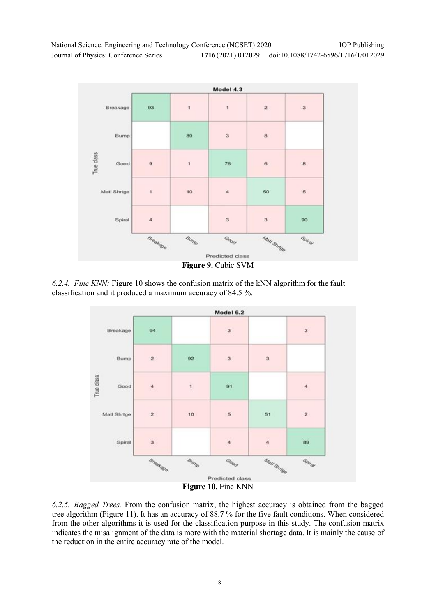doi:10.1088/1742-6596/1716/1/012029



*6.2.4. Fine KNN:* Figure 10 shows the confusion matrix of the kNN algorithm for the fault classification and it produced a maximum accuracy of 84.5 %.



*6.2.5. Bagged Trees.* From the confusion matrix, the highest accuracy is obtained from the bagged tree algorithm (Figure 11). It has an accuracy of 88.7 % for the five fault conditions. When considered from the other algorithms it is used for the classification purpose in this study. The confusion matrix indicates the misalignment of the data is more with the material shortage data. It is mainly the cause of the reduction in the entire accuracy rate of the model.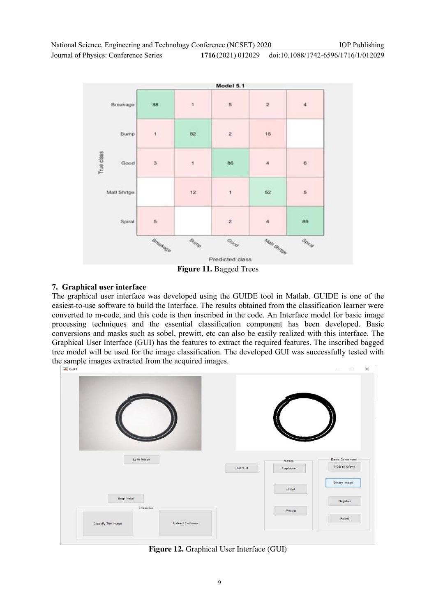doi:10.1088/1742-6596/1716/1/012029



**Figure 11.** Bagged Trees

# **7. Graphical user interface**

The graphical user interface was developed using the GUIDE tool in Matlab. GUIDE is one of the easiest-to-use software to build the Interface. The results obtained from the classification learner were converted to m-code, and this code is then inscribed in the code. An Interface model for basic image processing techniques and the essential classification component has been developed. Basic conversions and masks such as sobel, prewitt, etc can also be easily realized with this interface. The Graphical User Interface (GUI) has the features to extract the required features. The inscribed bagged tree model will be used for the image classification. The developed GUI was successfully tested with the sample images extracted from the acquired images.



**Figure 12.** Graphical User Interface (GUI)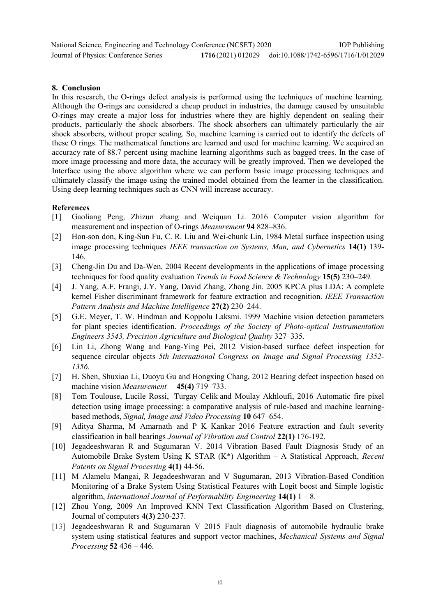#### **8. Conclusion**

In this research, the O-rings defect analysis is performed using the techniques of machine learning. Although the O-rings are considered a cheap product in industries, the damage caused by unsuitable O-rings may create a major loss for industries where they are highly dependent on sealing their products, particularly the shock absorbers. The shock absorbers can ultimately particularly the air shock absorbers, without proper sealing. So, machine learning is carried out to identify the defects of these O rings. The mathematical functions are learned and used for machine learning. We acquired an accuracy rate of 88.7 percent using machine learning algorithms such as bagged trees. In the case of more image processing and more data, the accuracy will be greatly improved. Then we developed the Interface using the above algorithm where we can perform basic image processing techniques and ultimately classify the image using the trained model obtained from the learner in the classification. Using deep learning techniques such as CNN will increase accuracy.

## **References**

- [1] Gaoliang Peng, Zhizun zhang and Weiquan Li. 2016 Computer vision algorithm for measurement and inspection of O-rings *Measurement* **94** 828–836.
- [2] Hon-son don, King-Sun Fu, C. R. Liu and Wei-chunk Lin, 1984 Metal surface inspection using image processing techniques *IEEE transaction on Systems, Man, and Cybernetics* **14(1)** 139- 146.
- [3] Cheng-Jin Du and Da-Wen, 2004 Recent developments in the applications of image processing techniques for food quality evaluation *Trends in Food Science & Technology* **15(5)** 230–249*.*
- [4] J. Yang, A.F. Frangi, J.Y. Yang, David Zhang, Zhong Jin. 2005 KPCA plus LDA: A complete kernel Fisher discriminant framework for feature extraction and recognition. *IEEE Transaction Pattern Analysis and Machine Intelligence* **27(2)** 230–244.
- [5] G.E. Meyer, T. W. Hindman and Koppolu Laksmi. 1999 Machine vision detection parameters for plant species identification. *Proceedings of the Society of Photo-optical Instrumentation Engineers 3543, Precision Agriculture and Biological Quality* 327–335.
- [6] Lin Li, Zhong Wang and Fang-Ying Pei, 2012 Vision-based surface defect inspection for sequence circular objects *5th International Congress on Image and Signal Processing 1352- 1356.*
- [7] H. Shen, Shuxiao Li, Duoyu Gu and Hongxing Chang, 2012 Bearing defect inspection based on machine vision *Measurement* **45(4)** 719–733.
- [8] Tom Toulouse, Lucile Rossi, [Turgay Celik](javascript:;) and [Moulay Akhloufi,](javascript:;) 2016 Automatic fire pixel detection using image processing: a comparative analysis of rule-based and machine learningbased methods, *Signal, Image and Video Processing* **10** 647–654.
- [9] Aditya Sharma, M Amarnath and P K Kankar 2016 Feature extraction and fault severity classification in ball bearings *Journal of Vibration and Control* **22(1)** 176-192.
- [10] Jegadeeshwaran R and Sugumaran V. 2014 [Vibration Based Fault Diagnosis Study of an](javascript:void(0))  [Automobile Brake System Using K STAR \(K\\*\) Algorithm](javascript:void(0)) – A Statistical Approach, *Recent Patents on Signal Processing* **4(1)** 44-56.
- [11] M Alamelu Mangai, R Jegadeeshwaran and V Sugumaran, 2013 [Vibration-Based Condition](javascript:void(0))  [Monitoring of a Brake System Using Statistical Features with Logit boost and Simple logistic](javascript:void(0))  [algorithm,](javascript:void(0)) *International Journal of Performability Engineering* **14(1)** 1 – 8.
- [12] Zhou Yong, 2009 An Improved KNN Text Classification Algorithm Based on Clustering, Journal of computers **4(3)** 230-237.
- [13] Jegadeeshwaran R and Sugumaran V 2015 Fault diagnosis of automobile hydraulic brake [system using statistical features and support vector machines,](javascript:void(0)) *Mechanical Systems and Signal Processing* **52** 436 – 446.